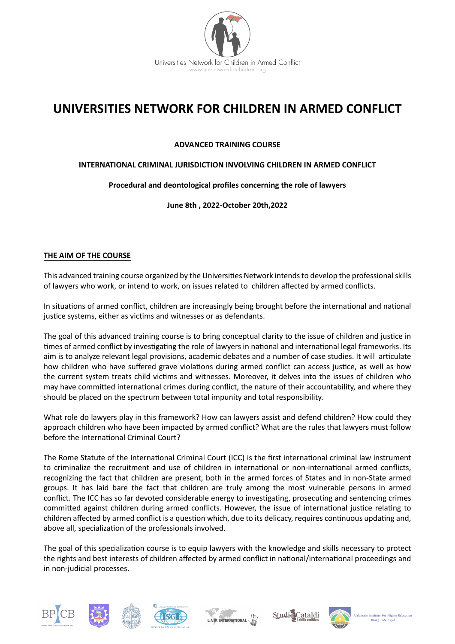

# **UNIVERSITIES NETWORK FOR CHILDREN IN ARMED CONFLICT**

# **ADVANCED TRAINING COURSE**

# **INTERNATIONAL CRIMINAL JURISDICTION INVOLVING CHILDREN IN ARMED CONFLICT**

# **Procedural and deontological profiles concerning the role of lawyers**

**June 8th , 2022-October 20th,2022**

### **THE AIM OF THE COURSE**

This advanced training course organized by the Universities Network intends to develop the professional skills of lawyers who work, or intend to work, on issues related to children affected by armed conflicts.

In situations of armed conflict, children are increasingly being brought before the international and national justice systems, either as victims and witnesses or as defendants.

The goal of this advanced training course is to bring conceptual clarity to the issue of children and justice in times of armed conflict by investigating the role of lawyers in national and international legal frameworks. Its aim is to analyze relevant legal provisions, academic debates and a number of case studies. It will articulate how children who have suffered grave violations during armed conflict can access justice, as well as how the current system treats child victims and witnesses. Moreover, it delves into the issues of children who may have committed international crimes during conflict, the nature of their accountability, and where they should be placed on the spectrum between total impunity and total responsibility.

What role do lawyers play in this framework? How can lawyers assist and defend children? How could they approach children who have been impacted by armed conflict? What are the rules that lawyers must follow before the International Criminal Court?

The Rome Statute of the International Criminal Court (ICC) is the first international criminal law instrument to criminalize the recruitment and use of children in international or non-international armed conflicts, recognizing the fact that children are present, both in the armed forces of States and in non-State armed groups. It has laid bare the fact that children are truly among the most vulnerable persons in armed conflict. The ICC has so far devoted considerable energy to investigating, prosecuting and sentencing crimes committed against children during armed conflicts. However, the issue of international justice relating to children affected by armed conflict is a question which, due to its delicacy, requires continuous updating and, above all, specialization of the professionals involved.

The goal of this specialization course is to equip lawyers with the knowledge and skills necessary to protect the rights and best interests of children affected by armed conflict in national/international proceedings and in non-judicial processes.











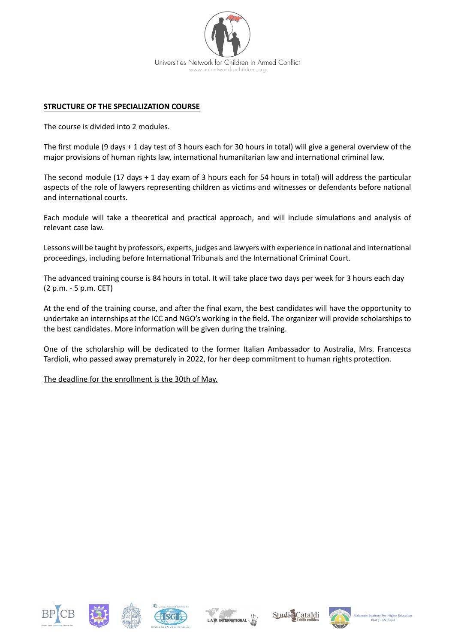

### **STRUCTURE OF THE SPECIALIZATION COURSE**

The course is divided into 2 modules.

The first module (9 days + 1 day test of 3 hours each for 30 hours in total) will give a general overview of the major provisions of human rights law, international humanitarian law and international criminal law.

The second module (17 days + 1 day exam of 3 hours each for 54 hours in total) will address the particular aspects of the role of lawyers representing children as victims and witnesses or defendants before national and international courts.

Each module will take a theoretical and practical approach, and will include simulations and analysis of relevant case law.

Lessons will be taught by professors, experts, judges and lawyers with experience in national and international proceedings, including before International Tribunals and the International Criminal Court.

The advanced training course is 84 hours in total. It will take place two days per week for 3 hours each day (2 p.m. - 5 p.m. CET)

At the end of the training course, and after the final exam, the best candidates will have the opportunity to undertake an internships at the ICC and NGO's working in the field. The organizer will provide scholarships to the best candidates. More information will be given during the training.

One of the scholarship will be dedicated to the former Italian Ambassador to Australia, Mrs. Francesca Tardioli, who passed away prematurely in 2022, for her deep commitment to human rights protection.

The deadline for the enrollment is the 30th of May.











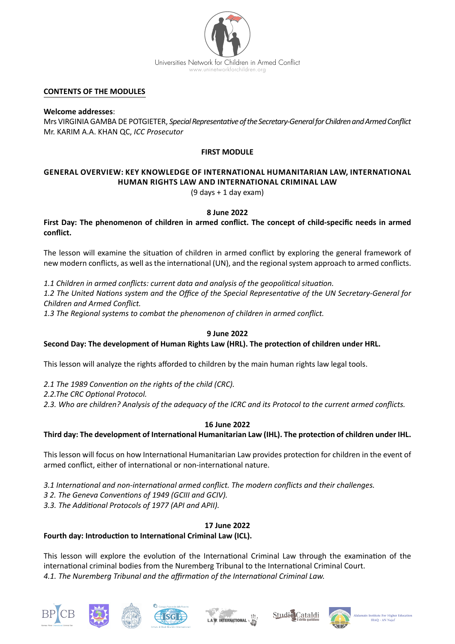

#### **CONTENTS OF THE MODULES**

**Welcome addresses**: Mrs VIRGINIA GAMBA DE POTGIETER, *Special Representative of the Secretary-General for Children and Armed Conflict* Mr. KARIM A.A. KHAN QC, *ICC Prosecutor* 

# **FIRST MODULE**

# **GENERAL OVERVIEW: KEY KNOWLEDGE OF INTERNATIONAL HUMANITARIAN LAW, INTERNATIONAL HUMAN RIGHTS LAW AND INTERNATIONAL CRIMINAL LAW**

(9 days + 1 day exam)

### **8 June 2022**

**First Day: The phenomenon of children in armed conflict. The concept of child-specific needs in armed conflict.**

The lesson will examine the situation of children in armed conflict by exploring the general framework of new modern conflicts, as well as the international (UN), and the regional system approach to armed conflicts.

*1.1 Children in armed conflicts: current data and analysis of the geopolitical situation.*

*1.2 The United Nations system and the Office of the Special Representative of the UN Secretary-General for Children and Armed Conflict.*

*1.3 The Regional systems to combat the phenomenon of children in armed conflict.*

# **9 June 2022**

# **Second Day: The development of Human Rights Law (HRL). The protection of children under HRL.**

This lesson will analyze the rights afforded to children by the main human rights law legal tools.

- *2.1 The 1989 Convention on the rights of the child (CRC).*
- *2.2.The CRC Optional Protocol.*
- *2.3. Who are children? Analysis of the adequacy of the ICRC and its Protocol to the current armed conflicts.*

# **16 June 2022**

**Third day: The development of International Humanitarian Law (IHL). The protection of children under IHL.**

This lesson will focus on how International Humanitarian Law provides protection for children in the event of armed conflict, either of international or non-international nature.

- *3.1 International and non-international armed conflict. The modern conflicts and their challenges.*
- *3 2. The Geneva Conventions of 1949 (GCIII and GCIV).*
- *3.3. The Additional Protocols of 1977 (API and APII).*

# **17 June 2022**

# **Fourth day: Introduction to International Criminal Law (ICL).**

This lesson will explore the evolution of the International Criminal Law through the examination of the international criminal bodies from the Nuremberg Tribunal to the International Criminal Court. *4.1. The Nuremberg Tribunal and the affirmation of the International Criminal Law.* 











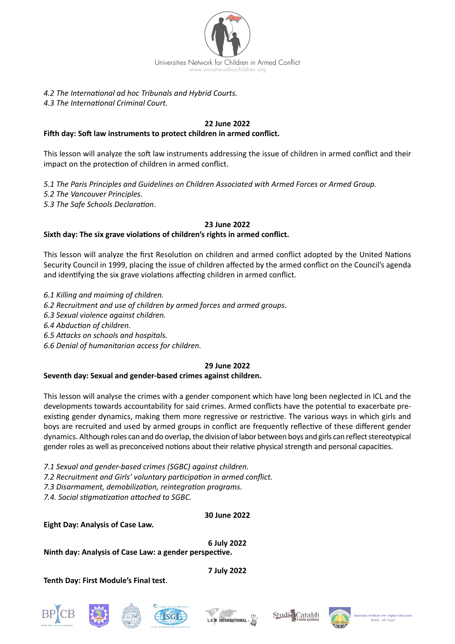

# *4.2 The International ad hoc Tribunals and Hybrid Courts.*

*4.3 The International Criminal Court.*

### **22 June 2022**

### **Fifth day: Soft law instruments to protect children in armed conflict.**

This lesson will analyze the soft law instruments addressing the issue of children in armed conflict and their impact on the protection of children in armed conflict.

*5.1 The Paris Principles and Guidelines on Children Associated with Armed Forces or Armed Group. 5.2 The Vancouver Principles. 5.3 The Safe Schools Declaration*.

#### **23 June 2022**

# **Sixth day: The six grave violations of children's rights in armed conflict.**

This lesson will analyze the first Resolution on children and armed conflict adopted by the United Nations Security Council in 1999, placing the issue of children affected by the armed conflict on the Council's agenda and identifying the six grave violations affecting children in armed conflict.

*6.1 Killing and maiming of children.*

*6.2 Recruitment and use of children by armed forces and armed groups.*

*6.3 Sexual violence against children.*

*6.4 Abduction of children.*

*6.5 Attacks on schools and hospitals.*

*6.6 Denial of humanitarian access for children.*

# **29 June 2022**

#### **Seventh day: Sexual and gender-based crimes against children.**

This lesson will analyse the crimes with a gender component which have long been neglected in ICL and the developments towards accountability for said crimes. Armed conflicts have the potential to exacerbate preexisting gender dynamics, making them more regressive or restrictive. The various ways in which girls and boys are recruited and used by armed groups in conflict are frequently reflective of these different gender dynamics. Although roles can and do overlap, the division of labor between boys and girls can reflect stereotypical gender roles as well as preconceived notions about their relative physical strength and personal capacities.

*7.1 Sexual and gender-based crimes (SGBC) against children.*

*7.2 Recruitment and Girls' voluntary participation in armed conflict.*

*7.3 Disarmament, demobilization, reintegration programs.* 

*7.4. Social stigmatization attached to SGBC.*

# **30 June 2022**

**Eight Day: Analysis of Case Law.**

**6 July 2022**

**Ninth day: Analysis of Case Law: a gender perspective.**

**Tenth Day: First Module's Final test**.

**7 July 2022**











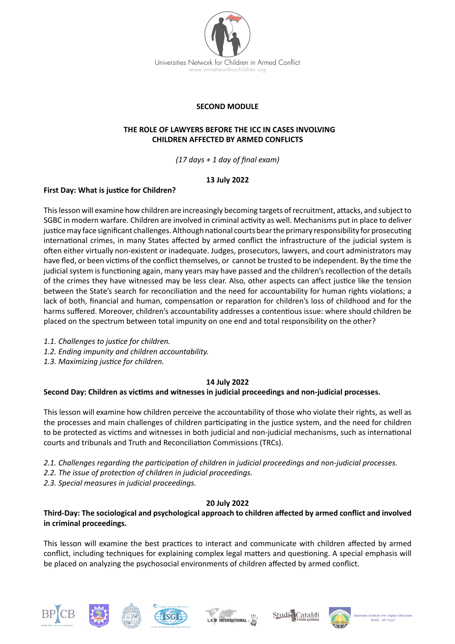

# **SECOND MODULE**

#### **THE ROLE OF LAWYERS BEFORE THE ICC IN CASES INVOLVING CHILDREN AFFECTED BY ARMED CONFLICTS**

*(17 days + 1 day of final exam)*

# **13 July 2022**

# **First Day: What is justice for Children?**

This lesson will examine how children are increasingly becoming targets of recruitment, attacks, and subject to SGBC in modern warfare. Children are involved in criminal activity as well. Mechanisms put in place to deliver justice may face significant challenges. Although national courts bear the primary responsibility for prosecuting international crimes, in many States affected by armed conflict the infrastructure of the judicial system is often either virtually non-existent or inadequate. Judges, prosecutors, lawyers, and court administrators may have fled, or been victims of the conflict themselves, or cannot be trusted to be independent. By the time the judicial system is functioning again, many years may have passed and the children's recollection of the details of the crimes they have witnessed may be less clear. Also, other aspects can affect justice like the tension between the State's search for reconciliation and the need for accountability for human rights violations; a lack of both, financial and human, compensation or reparation for children's loss of childhood and for the harms suffered. Moreover, children's accountability addresses a contentious issue: where should children be placed on the spectrum between total impunity on one end and total responsibility on the other?

- *1.1. Challenges to justice for children.*
- *1.2. Ending impunity and children accountability.*
- *1.3. Maximizing justice for children.*

#### **14 July 2022**

#### **Second Day: Children as victims and witnesses in judicial proceedings and non-judicial processes.**

This lesson will examine how children perceive the accountability of those who violate their rights, as well as the processes and main challenges of children participating in the justice system, and the need for children to be protected as victims and witnesses in both judicial and non-judicial mechanisms, such as international courts and tribunals and Truth and Reconciliation Commissions (TRCs).

- *2.1. Challenges regarding the participation of children in judicial proceedings and non-judicial processes.*
- *2.2. The issue of protection of children in judicial proceedings.*

*2.3. Special measures in judicial proceedings.*

#### **20 July 2022**

# **Third-Day: The sociological and psychological approach to children affected by armed conflict and involved in criminal proceedings.**

This lesson will examine the best practices to interact and communicate with children affected by armed conflict, including techniques for explaining complex legal matters and questioning. A special emphasis will be placed on analyzing the psychosocial environments of children affected by armed conflict.











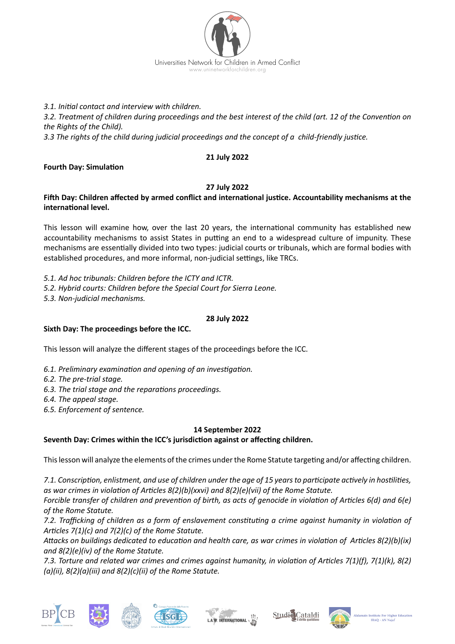

*3.1. Initial contact and interview with children.*

*3.2. Treatment of children during proceedings and the best interest of the child (art. 12 of the Convention on the Rights of the Child).* 

*3.3 The rights of the child during judicial proceedings and the concept of a child-friendly justice.*

# **21 July 2022**

# **Fourth Day: Simulation**

# **27 July 2022**

### **Fifth Day: Children affected by armed conflict and international justice. Accountability mechanisms at the international level.**

This lesson will examine how, over the last 20 years, the international community has established new accountability mechanisms to assist States in putting an end to a widespread culture of impunity. These mechanisms are essentially divided into two types: judicial courts or tribunals, which are formal bodies with established procedures, and more informal, non-judicial settings, like TRCs.

*5.1. Ad hoc tribunals: Children before the ICTY and ICTR.*

*5.2. Hybrid courts: Children before the Special Court for Sierra Leone.*

*5.3. Non-judicial mechanisms.*

### **28 July 2022**

# **Sixth Day: The proceedings before the ICC.**

This lesson will analyze the different stages of the proceedings before the ICC.

- *6.1. Preliminary examination and opening of an investigation.*
- *6.2. The pre-trial stage.*
- *6.3. The trial stage and the reparations proceedings.*
- *6.4. The appeal stage.*
- *6.5. Enforcement of sentence.*

# **14 September 2022**

# **Seventh Day: Crimes within the ICC's jurisdiction against or affecting children.**

This lesson will analyze the elements of the crimes under the Rome Statute targeting and/or affecting children.

*7.1. Conscription, enlistment, and use of children under the age of 15 years to participate actively in hostilities, as war crimes in violation of Articles 8(2)(b)(xxvi) and 8(2)(e)(vii) of the Rome Statute.*

*Forcible transfer of children and prevention of birth, as acts of genocide in violation of Articles 6(d) and 6(e) of the Rome Statute.*

*7.2. Trafficking of children as a form of enslavement constituting a crime against humanity in violation of Articles 7(1)(c) and 7(2)(c) of the Rome Statute.*

*Attacks on buildings dedicated to education and health care, as war crimes in violation of Articles 8(2)(b)(ix) and 8(2)(e)(iv) of the Rome Statute.*

*7.3. Torture and related war crimes and crimes against humanity, in violation of Articles 7(1)(f), 7(1)(k), 8(2) (a)(ii), 8(2)(a)(iii) and 8(2)(c)(ii) of the Rome Statute.*









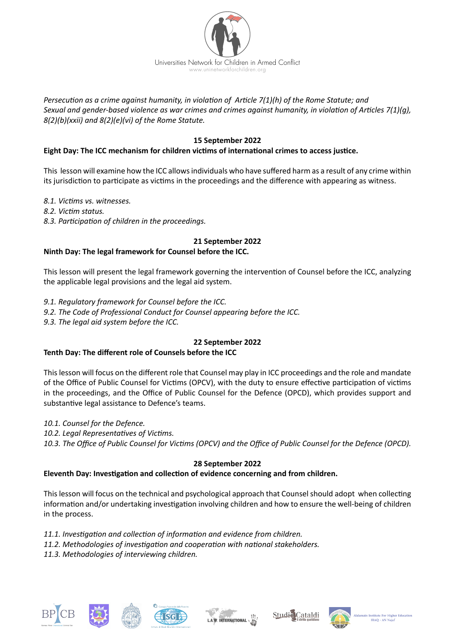

*Persecution as a crime against humanity, in violation of Article 7(1)(h) of the Rome Statute; and Sexual and gender-based violence as war crimes and crimes against humanity, in violation of Articles 7(1)(g), 8(2)(b)(xxii) and 8(2)(e)(vi) of the Rome Statute.*

# **15 September 2022**

# **Eight Day: The ICC mechanism for children victims of international crimes to access justice.**

This lesson will examine how the ICC allows individuals who have suffered harm as a result of any crime within its jurisdiction to participate as victims in the proceedings and the difference with appearing as witness.

*8.1. Victims vs. witnesses.*

*8.2. Victim status.*

*8.3. Participation of children in the proceedings.*

# **21 September 2022**

# **Ninth Day: The legal framework for Counsel before the ICC.**

This lesson will present the legal framework governing the intervention of Counsel before the ICC, analyzing the applicable legal provisions and the legal aid system.

- *9.1. Regulatory framework for Counsel before the ICC.*
- *9.2. The Code of Professional Conduct for Counsel appearing before the ICC.*
- *9.3. The legal aid system before the ICC.*

# **22 September 2022**

# **Tenth Day: The different role of Counsels before the ICC**

This lesson will focus on the different role that Counsel may play in ICC proceedings and the role and mandate of the Office of Public Counsel for Victims (OPCV), with the duty to ensure effective participation of victims in the proceedings, and the Office of Public Counsel for the Defence (OPCD), which provides support and substantive legal assistance to Defence's teams.

- *10.1. Counsel for the Defence.*
- *10.2. Legal Representatives of Victims.*
- *10.3. The Office of Public Counsel for Victims (OPCV) and the Office of Public Counsel for the Defence (OPCD).*

# **28 September 2022**

# **Eleventh Day: Investigation and collection of evidence concerning and from children.**

This lesson will focus on the technical and psychological approach that Counsel should adopt when collecting information and/or undertaking investigation involving children and how to ensure the well-being of children in the process.

- *11.1. Investigation and collection of information and evidence from children.*
- *11.2. Methodologies of investigation and cooperation with national stakeholders.*
- *11.3. Methodologies of interviewing children.*











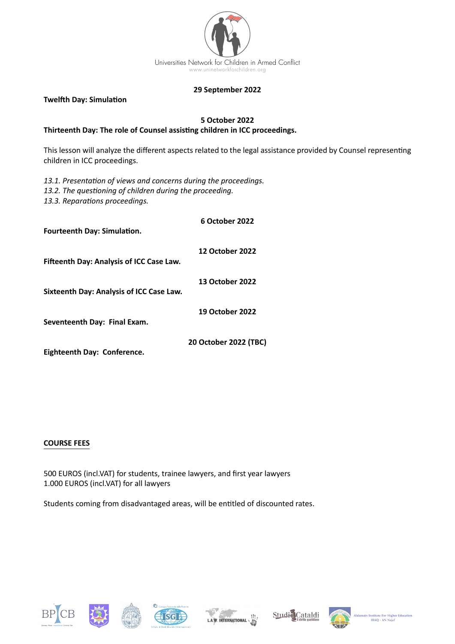

#### **29 September 2022**

**Twelfth Day: Simulation**

### **5 October 2022 Thirteenth Day: The role of Counsel assisting children in ICC proceedings.**

This lesson will analyze the different aspects related to the legal assistance provided by Counsel representing children in ICC proceedings.

*13.1. Presentation of views and concerns during the proceedings. 13.2. The questioning of children during the proceeding. 13.3. Reparations proceedings.*

| Fourteenth Day: Simulation.                     | 6 October 2022         |
|-------------------------------------------------|------------------------|
| Fifteenth Day: Analysis of ICC Case Law.        | <b>12 October 2022</b> |
| <b>Sixteenth Day: Analysis of ICC Case Law.</b> | <b>13 October 2022</b> |
|                                                 | <b>19 October 2022</b> |
| Seventeenth Day: Final Exam.                    |                        |
| Fighteenth Day: Conference                      | 20 October 2022 (TBC)  |

**Eighteenth Day: Conference.**

#### **COURSE FEES**

500 EUROS (incl.VAT) for students, trainee lawyers, and first year lawyers 1.000 EUROS (incl.VAT) for all lawyers

Students coming from disadvantaged areas, will be entitled of discounted rates.











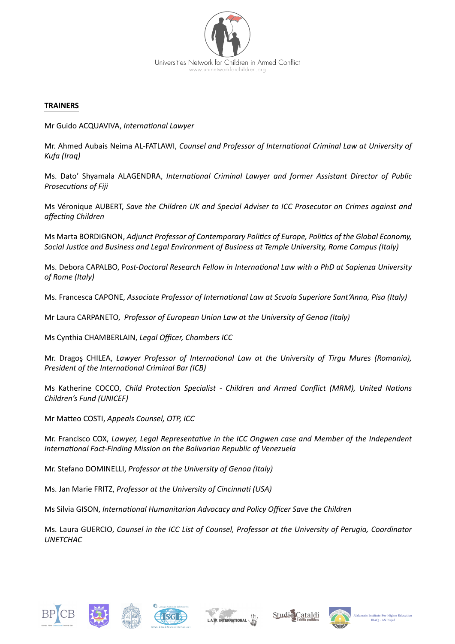

#### **TRAINERS**

Mr Guido ACQUAVIVA, *International Lawyer*

Mr. Ahmed Aubais Neima AL-FATLAWI, *Counsel and Professor of International Criminal Law at University of Kufa (Iraq)*

Ms. Dato' Shyamala ALAGENDRA, *International Criminal Lawyer and former Assistant Director of Public Prosecutions of Fiji* 

Ms Véronique AUBERT, *Save the Children UK and Special Adviser to ICC Prosecutor on Crimes against and affecting Children*

Ms Marta BORDIGNON, *Adjunct Professor of Contemporary Politics of Europe, Politics of the Global Economy, Social Justice and Business and Legal Environment of Business at Temple University, Rome Campus (Italy)*

Ms. Debora CAPALBO, P*ost-Doctoral Research Fellow in International Law with a PhD at Sapienza University of Rome (Italy)*

Ms. Francesca CAPONE, *Associate Professor of International Law at Scuola Superiore Sant'Anna, Pisa (Italy)*

Mr Laura CARPANETO, *Professor of European Union Law at the University of Genoa (Italy)*

Ms Cynthia CHAMBERLAIN, *Legal Officer, Chambers ICC*

Mr. Dragoş CHILEA, *Lawyer Professor of International Law at the University of Tirgu Mures (Romania), President of the International Criminal Bar (ICB)*

Ms Katherine COCCO, *Child Protection Specialist - Children and Armed Conflict (MRM), United Nations Children's Fund (UNICEF)*

Mr Matteo COSTI, *Appeals Counsel, OTP, ICC*

Mr. Francisco COX, *Lawyer, Legal Representative in the ICC Ongwen case and Member of the Independent International Fact-Finding Mission on the Bolivarian Republic of Venezuela*

Mr. Stefano DOMINELLI, *Professor at the University of Genoa (Italy)*

Ms. Jan Marie FRITZ, *Professor at the University of Cincinnati (USA)*

Ms Silvia GISON, *International Humanitarian Advocacy and Policy Officer Save the Children*

Ms. Laura GUERCIO, *Counsel in the ICC List of Counsel, Professor at the University of Perugia, Coordinator UNETCHAC*











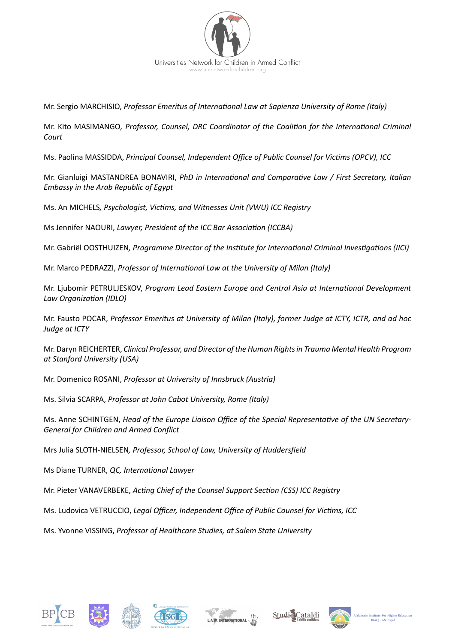

Mr. Sergio MARCHISIO, *Professor Emeritus of International Law at Sapienza University of Rome (Italy)*

Mr. Kito MASIMANGO*, Professor, Counsel, DRC Coordinator of the Coalition for the International Criminal Court* 

Ms. Paolina MASSIDDA, *Principal Counsel, Independent Office of Public Counsel for Victims (OPCV), ICC*

Mr. Gianluigi MASTANDREA BONAVIRI, *PhD in International and Comparative Law / First Secretary, Italian Embassy in the Arab Republic of Egypt* 

Ms. An MICHELS*, Psychologist, Victims, and Witnesses Unit (VWU) ICC Registry*

Ms Jennifer NAOURI, *Lawyer, President of the ICC Bar Association (ICCBA)*

Mr. Gabriël OOSTHUIZEN*, Programme Director of the Institute for International Criminal Investigations (IICI)*

Mr. Marco PEDRAZZI, *Professor of International Law at the University of Milan (Italy)*

Mr. Ljubomir PETRULJESKOV, *Program Lead Eastern Europe and Central Asia at International Development Law Organization (IDLO)* 

Mr. Fausto POCAR, *Professor Emeritus at University of Milan (Italy), former Judge at ICTY, ICTR, and ad hoc Judge at ICTY* 

Mr. Daryn REICHERTER, *Clinical Professor, and Director of the Human Rights in Trauma Mental Health Program at Stanford University (USA)*

Mr. Domenico ROSANI, *Professor at University of Innsbruck (Austria)*

Ms. Silvia SCARPA, *Professor at John Cabot University, Rome (Italy)*

Ms. Anne SCHINTGEN, *Head of the Europe Liaison Office of the Special Representative of the UN Secretary-General for Children and Armed Conflict*

Mrs Julia SLOTH-NIELSEN*, Professor, School of Law, University of Huddersfield* 

Ms Diane TURNER, *QC, International Lawyer*

Mr. Pieter VANAVERBEKE, *Acting Chief of the Counsel Support Section (CSS) ICC Registry*

Ms. Ludovica VETRUCCIO, *Legal Officer, Independent Office of Public Counsel for Victims, ICC*

Ms. Yvonne VISSING, *Professor of Healthcare Studies, at Salem State University*











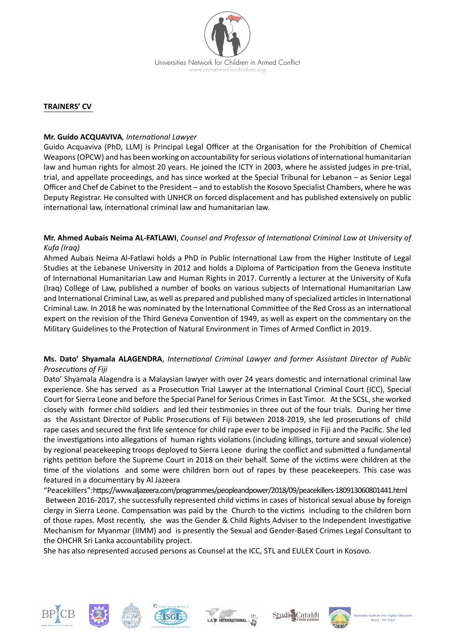

### **TRAINERS' CV**

### **Mr. Guido ACQUAVIVA***, International Lawyer*

Guido Acquaviva (PhD, LLM) is Principal Legal Officer at the Organisation for the Prohibition of Chemical Weapons (OPCW) and has been working on accountability for serious violations of international humanitarian law and human rights for almost 20 years. He joined the ICTY in 2003, where he assisted judges in pre-trial, trial, and appellate proceedings, and has since worked at the Special Tribunal for Lebanon – as Senior Legal Officer and Chef de Cabinet to the President – and to establish the Kosovo Specialist Chambers, where he was Deputy Registrar. He consulted with UNHCR on forced displacement and has published extensively on public international law, international criminal law and humanitarian law.

### **Mr. Ahmed Aubais Neima AL-FATLAWI**, *Counsel and Professor of International Criminal Law at University of Kufa (Iraq)*

Ahmed Aubais Neima Al-Fatlawi holds a PhD in Public International Law from the Higher Institute of Legal Studies at the Lebanese University in 2012 and holds a Diploma of Participation from the Geneva Institute of International Humanitarian Law and Human Rights in 2017. Currently a lecturer at the University of Kufa (Iraq) College of Law, published a number of books on various subjects of International Humanitarian Law and International Criminal Law, as well as prepared and published many of specialized articles in International Criminal Law. In 2018 he was nominated by the International Committee of the Red Cross as an international expert on the revision of the Third Geneva Convention of 1949, as well as expert on the commentary on the Military Guidelines to the Protection of Natural Environment in Times of Armed Conflict in 2019.

# **Ms. Dato' Shyamala ALAGENDRA**, *International Criminal Lawyer and former Assistant Director of Public Prosecutions of Fiji*

Dato' Shyamala Alagendra is a Malaysian lawyer with over 24 years domestic and international criminal law experience. She has served as a Prosecution Trial Lawyer at the International Criminal Court (ICC), Special Court for Sierra Leone and before the Special Panel for Serious Crimes in East Timor. At the SCSL, she worked closely with former child soldiers and led their testimonies in three out of the four trials. During her time as the Assistant Director of Public Prosecutions of Fiji between 2018-2019, she led prosecutions of child rape cases and secured the first life sentence for child rape ever to be imposed in Fiji and the Pacific. She led the investigations into allegations of human rights violations (including killings, torture and sexual violence) by regional peacekeeping troops deployed to Sierra Leone during the conflict and submitted a fundamental rights petition before the Supreme Court in 2018 on their behalf. Some of the victims were children at the time of the violations and some were children born out of rapes by these peacekeepers. This case was featured in a documentary by Al Jazeera

"Peacekillers":https://www.aljazeera.com/programmes/peopleandpower/2018/09/peacekillers-180913060801441.html Between 2016-2017, she successfully represented child victims in cases of historical sexual abuse by foreign clergy in Sierra Leone. Compensation was paid by the Church to the victims including to the children born of those rapes. Most recently, she was the Gender & Child Rights Adviser to the Independent Investigative Mechanism for Myanmar (IIMM) and is presently the Sexual and Gender-Based Crimes Legal Consultant to the OHCHR Sri Lanka accountability project.

She has also represented accused persons as Counsel at the ICC, STL and EULEX Court in Kosovo.











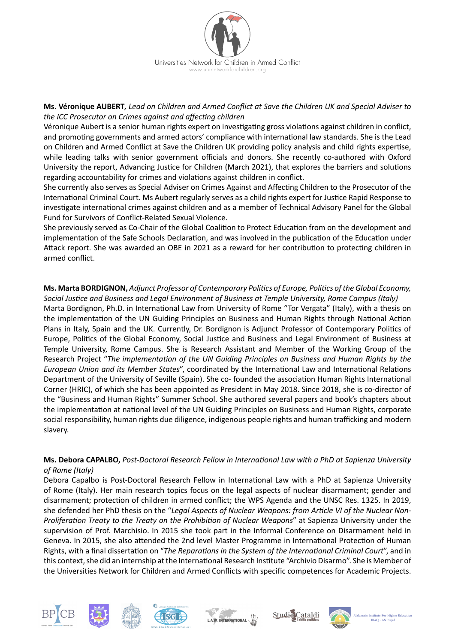

# **Ms. Véronique AUBERT***, Lead on Children and Armed Conflict at Save the Children UK and Special Adviser to the ICC Prosecutor on Crimes against and affecting children*

Véronique Aubert is a senior human rights expert on investigating gross violations against children in conflict, and promoting governments and armed actors' compliance with international law standards. She is the Lead on Children and Armed Conflict at Save the Children UK providing policy analysis and child rights expertise, while leading talks with senior government officials and donors. She recently co-authored with Oxford University the report, Advancing Justice for Children (March 2021), that explores the barriers and solutions regarding accountability for crimes and violations against children in conflict.

She currently also serves as Special Adviser on Crimes Against and Affecting Children to the Prosecutor of the International Criminal Court. Ms Aubert regularly serves as a child rights expert for Justice Rapid Response to investigate international crimes against children and as a member of Technical Advisory Panel for the Global Fund for Survivors of Conflict-Related Sexual Violence.

She previously served as Co-Chair of the Global Coalition to Protect Education from on the development and implementation of the Safe Schools Declaration, and was involved in the publication of the Education under Attack report. She was awarded an OBE in 2021 as a reward for her contribution to protecting children in armed conflict.

#### **Ms. Marta BORDIGNON,** *Adjunct Professor of Contemporary Politics of Europe, Politics of the Global Economy, Social Justice and Business and Legal Environment of Business at Temple University, Rome Campus (Italy)*

Marta Bordignon, Ph.D. in International Law from University of Rome "Tor Vergata" (Italy), with a thesis on the implementation of the UN Guiding Principles on Business and Human Rights through National Action Plans in Italy, Spain and the UK. Currently, Dr. Bordignon is Adjunct Professor of Contemporary Politics of Europe, Politics of the Global Economy, Social Justice and Business and Legal Environment of Business at Temple University, Rome Campus. She is Research Assistant and Member of the Working Group of the Research Project "*The implementation of the UN Guiding Principles on Business and Human Rights by the European Union and its Member States*", coordinated by the International Law and International Relations Department of the University of Seville (Spain). She co- founded the association Human Rights International Corner (HRIC), of which she has been appointed as President in May 2018. Since 2018, she is co-director of the "Business and Human Rights" Summer School. She authored several papers and book's chapters about the implementation at national level of the UN Guiding Principles on Business and Human Rights, corporate social responsibility, human rights due diligence, indigenous people rights and human trafficking and modern slavery.

# **Ms. Debora CAPALBO,** *Post-Doctoral Research Fellow in International Law with a PhD at Sapienza University of Rome (Italy)*

Debora Capalbo is Post-Doctoral Research Fellow in International Law with a PhD at Sapienza University of Rome (Italy). Her main research topics focus on the legal aspects of nuclear disarmament; gender and disarmament; protection of children in armed conflict; the WPS Agenda and the UNSC Res. 1325. In 2019, she defended her PhD thesis on the "*Legal Aspects of Nuclear Weapons: from Article VI of the Nuclear Non-Proliferation Treaty to the Treaty on the Prohibition of Nuclear Weapons*" at Sapienza University under the supervision of Prof. Marchisio. In 2015 she took part in the Informal Conference on Disarmament held in Geneva. In 2015, she also attended the 2nd level Master Programme in International Protection of Human Rights, with a final dissertation on "*The Reparations in the System of the International Criminal Court*", and in this context, she did an internship at the International Research Institute "Archivio Disarmo". She is Member of the Universities Network for Children and Armed Conflicts with specific competences for Academic Projects.











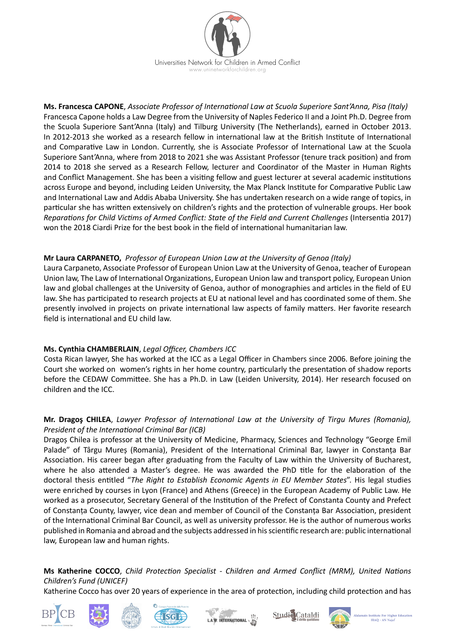

**Ms. Francesca CAPONE**, *Associate Professor of International Law at Scuola Superiore Sant'Anna, Pisa (Italy)* Francesca Capone holds a Law Degree from the University of Naples Federico II and a Joint Ph.D. Degree from the Scuola Superiore Sant'Anna (Italy) and Tilburg University (The Netherlands), earned in October 2013. In 2012-2013 she worked as a research fellow in international law at the British Institute of International and Comparative Law in London. Currently, she is Associate Professor of International Law at the Scuola Superiore Sant'Anna, where from 2018 to 2021 she was Assistant Professor (tenure track position) and from 2014 to 2018 she served as a Research Fellow, lecturer and Coordinator of the Master in Human Rights and Conflict Management. She has been a visiting fellow and guest lecturer at several academic institutions across Europe and beyond, including Leiden University, the Max Planck Institute for Comparative Public Law and International Law and Addis Ababa University. She has undertaken research on a wide range of topics, in particular she has written extensively on children's rights and the protection of vulnerable groups. Her book *Reparations for Child Victims of Armed Conflict: State of the Field and Current Challenges* (Intersentia 2017) won the 2018 Ciardi Prize for the best book in the field of international humanitarian law.

### **Mr Laura CARPANETO,** *Professor of European Union Law at the University of Genoa (Italy)*

Laura Carpaneto, Associate Professor of European Union Law at the University of Genoa, teacher of European Union law, The Law of International Organizations, European Union law and transport policy, European Union law and global challenges at the University of Genoa, author of monographies and articles in the field of EU law. She has participated to research projects at EU at national level and has coordinated some of them. She presently involved in projects on private international law aspects of family matters. Her favorite research field is international and EU child law.

# **Ms. Cynthia CHAMBERLAIN**, *Legal Officer, Chambers ICC*

Costa Rican lawyer, She has worked at the ICC as a Legal Officer in Chambers since 2006. Before joining the Court she worked on women's rights in her home country, particularly the presentation of shadow reports before the CEDAW Committee. She has a Ph.D. in Law (Leiden University, 2014). Her research focused on children and the ICC.

# **Mr. Dragoş CHILEA**, *Lawyer Professor of International Law at the University of Tirgu Mures (Romania), President of the International Criminal Bar (ICB)*

Dragoș Chilea is professor at the University of Medicine, Pharmacy, Sciences and Technology "George Emil Palade" of Târgu Mureș (Romania), President of the International Criminal Bar, lawyer in Constanța Bar Association. His career began after graduating from the Faculty of Law within the University of Bucharest, where he also attended a Master's degree. He was awarded the PhD title for the elaboration of the doctoral thesis entitled "*The Right to Establish Economic Agents in EU Member States*". His legal studies were enriched by courses in Lyon (France) and Athens (Greece) in the European Academy of Public Law. He worked as a prosecutor, Secretary General of the Institution of the Prefect of Constanta County and Prefect of Constanța County, lawyer, vice dean and member of Council of the Constanța Bar Association, president of the International Criminal Bar Council, as well as university professor. He is the author of numerous works published in Romania and abroad and the subjects addressed in his scientific research are: public international law, European law and human rights.

# **Ms Katherine COCCO**, *Child Protection Specialist - Children and Armed Conflict (MRM), United Nations Children's Fund (UNICEF)*

Katherine Cocco has over 20 years of experience in the area of protection, including child protection and has











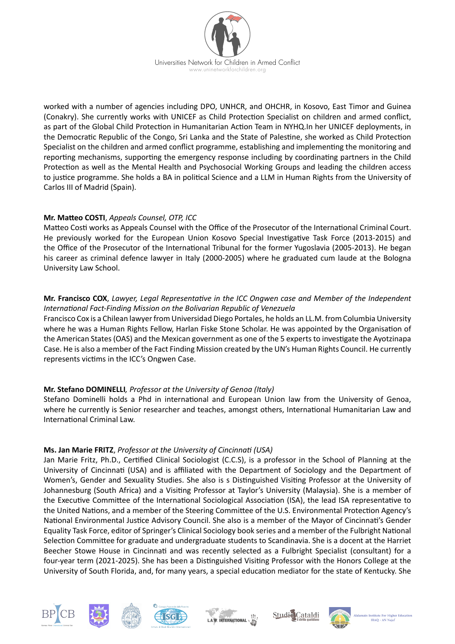

worked with a number of agencies including DPO, UNHCR, and OHCHR, in Kosovo, East Timor and Guinea (Conakry). She currently works with UNICEF as Child Protection Specialist on children and armed conflict, as part of the Global Child Protection in Humanitarian Action Team in NYHQ.In her UNICEF deployments, in the Democratic Republic of the Congo, Sri Lanka and the State of Palestine, she worked as Child Protection Specialist on the children and armed conflict programme, establishing and implementing the monitoring and reporting mechanisms, supporting the emergency response including by coordinating partners in the Child Protection as well as the Mental Health and Psychosocial Working Groups and leading the children access to justice programme. She holds a BA in political Science and a LLM in Human Rights from the University of Carlos III of Madrid (Spain).

# **Mr. Matteo COSTI**, *Appeals Counsel, OTP, ICC*

Matteo Costi works as Appeals Counsel with the Office of the Prosecutor of the International Criminal Court. He previously worked for the European Union Kosovo Special Investigative Task Force (2013-2015) and the Office of the Prosecutor of the International Tribunal for the former Yugoslavia (2005-2013). He began his career as criminal defence lawyer in Italy (2000-2005) where he graduated cum laude at the Bologna University Law School.

### **Mr. Francisco COX**, *Lawyer, Legal Representative in the ICC Ongwen case and Member of the Independent International Fact-Finding Mission on the Bolivarian Republic of Venezuela*

Francisco Cox is a Chilean lawyer from Universidad Diego Portales, he holds an LL.M. from Columbia University where he was a Human Rights Fellow, Harlan Fiske Stone Scholar. He was appointed by the Organisation of the American States (OAS) and the Mexican government as one of the 5 experts to investigate the Ayotzinapa Case. He is also a member of the Fact Finding Mission created by the UN's Human Rights Council. He currently represents victims in the ICC's Ongwen Case.

# **Mr. Stefano DOMINELLI***, Professor at the University of Genoa (Italy)*

Stefano Dominelli holds a Phd in international and European Union law from the University of Genoa, where he currently is Senior researcher and teaches, amongst others, International Humanitarian Law and International Criminal Law.

# **Ms. Jan Marie FRITZ**, *Professor at the University of Cincinnati (USA)*

Jan Marie Fritz, Ph.D., Certified Clinical Sociologist (C.C.S), is a professor in the School of Planning at the University of Cincinnati (USA) and is affiliated with the Department of Sociology and the Department of Women's, Gender and Sexuality Studies. She also is s Distinguished Visiting Professor at the University of Johannesburg (South Africa) and a Visiting Professor at Taylor's University (Malaysia). She is a member of the Executive Committee of the International Sociological Association (ISA), the lead ISA representative to the United Nations, and a member of the Steering Committee of the U.S. Environmental Protection Agency's National Environmental Justice Advisory Council. She also is a member of the Mayor of Cincinnati's Gender Equality Task Force, editor of Springer's Clinical Sociology book series and a member of the Fulbright National Selection Committee for graduate and undergraduate students to Scandinavia. She is a docent at the Harriet Beecher Stowe House in Cincinnati and was recently selected as a Fulbright Specialist (consultant) for a four-year term (2021-2025). She has been a Distinguished Visiting Professor with the Honors College at the University of South Florida, and, for many years, a special education mediator for the state of Kentucky. She











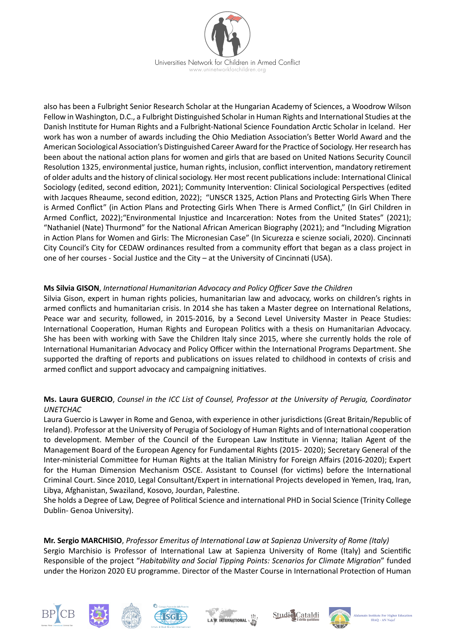

also has been a Fulbright Senior Research Scholar at the Hungarian Academy of Sciences, a Woodrow Wilson Fellow in Washington, D.C., a Fulbright Distinguished Scholar in Human Rights and International Studies at the Danish Institute for Human Rights and a Fulbright-National Science Foundation Arctic Scholar in Iceland. Her work has won a number of awards including the Ohio Mediation Association's Better World Award and the American Sociological Association's Distinguished Career Award for the Practice of Sociology. Her research has been about the national action plans for women and girls that are based on United Nations Security Council Resolution 1325, environmental justice, human rights, inclusion, conflict intervention, mandatory retirement of older adults and the history of clinical sociology. Her most recent publications include: International Clinical Sociology (edited, second edition, 2021); Community Intervention: Clinical Sociological Perspectives (edited with Jacques Rheaume, second edition, 2022); "UNSCR 1325, Action Plans and Protecting Girls When There is Armed Conflict" (in Action Plans and Protecting Girls When There is Armed Conflict," (In Girl Children in Armed Conflict, 2022);"Environmental Injustice and Incarceration: Notes from the United States" (2021); "Nathaniel (Nate) Thurmond" for the National African American Biography (2021); and "Including Migration in Action Plans for Women and Girls: The Micronesian Case" (In Sicurezza e scienze sociali, 2020). Cincinnati City Council's City for CEDAW ordinances resulted from a community effort that began as a class project in one of her courses - Social Justice and the City – at the University of Cincinnati (USA).

### **Ms Silvia GISON**, *International Humanitarian Advocacy and Policy Officer Save the Children*

Silvia Gison, expert in human rights policies, humanitarian law and advocacy, works on children's rights in armed conflicts and humanitarian crisis. In 2014 she has taken a Master degree on International Relations, Peace war and security, followed, in 2015-2016, by a Second Level University Master in Peace Studies: International Cooperation, Human Rights and European Politics with a thesis on Humanitarian Advocacy. She has been with working with Save the Children Italy since 2015, where she currently holds the role of International Humanitarian Advocacy and Policy Officer within the International Programs Department. She supported the drafting of reports and publications on issues related to childhood in contexts of crisis and armed conflict and support advocacy and campaigning initiatives.

# **Ms. Laura GUERCIO**, *Counsel in the ICC List of Counsel, Professor at the University of Perugia, Coordinator UNETCHAC*

Laura Guercio is Lawyer in Rome and Genoa, with experience in other jurisdictions (Great Britain/Republic of Ireland). Professor at the University of Perugia of Sociology of Human Rights and of International cooperation to development. Member of the Council of the European Law Institute in Vienna; Italian Agent of the Management Board of the European Agency for Fundamental Rights (2015- 2020); Secretary General of the Inter-ministerial Committee for Human Rights at the Italian Ministry for Foreign Affairs (2016-2020); Expert for the Human Dimension Mechanism OSCE. Assistant to Counsel (for victims) before the International Criminal Court. Since 2010, Legal Consultant/Expert in international Projects developed in Yemen, Iraq, Iran, Libya, Afghanistan, Swaziland, Kosovo, Jourdan, Palestine.

She holds a Degree of Law, Degree of Political Science and international PHD in Social Science (Trinity College Dublin- Genoa University).

**Mr. Sergio MARCHISIO**, *Professor Emeritus of International Law at Sapienza University of Rome (Italy)* Sergio Marchisio is Professor of International Law at Sapienza University of Rome (Italy) and Scientific Responsible of the project "*Habitability and Social Tipping Points: Scenarios for Climate Migration*" funded under the Horizon 2020 EU programme. Director of the Master Course in International Protection of Human











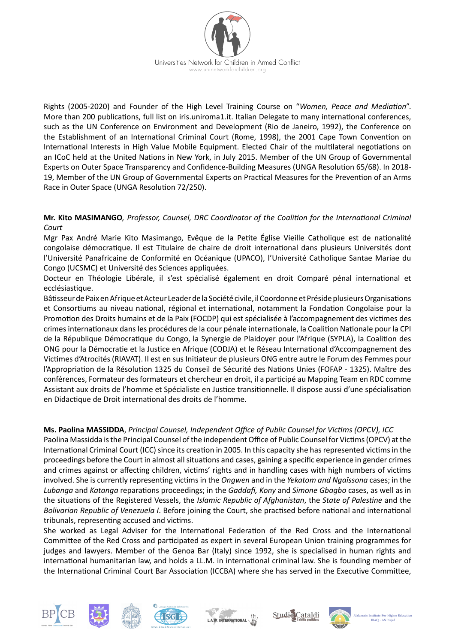

Rights (2005-2020) and Founder of the High Level Training Course on "*Women, Peace and Mediation*". More than 200 publications, full list on iris.uniroma1.it. Italian Delegate to many international conferences, such as the UN Conference on Environment and Development (Rio de Janeiro, 1992), the Conference on the Establishment of an International Criminal Court (Rome, 1998), the 2001 Cape Town Convention on International Interests in High Value Mobile Equipment. Elected Chair of the multilateral negotiations on an ICoC held at the United Nations in New York, in July 2015. Member of the UN Group of Governmental Experts on Outer Space Transparency and Confidence-Building Measures (UNGA Resolution 65/68). In 2018- 19, Member of the UN Group of Governmental Experts on Practical Measures for the Prevention of an Arms Race in Outer Space (UNGA Resolution 72/250).

# **Mr. Kito MASIMANGO***, Professor, Counsel, DRC Coordinator of the Coalition for the International Criminal Court*

Mgr Pax André Marie Kito Masimango, Evêque de la Petite Église Vieille Catholique est de nationalité congolaise démocratique. Il est Titulaire de chaire de droit international dans plusieurs Universités dont l'Université Panafricaine de Conformité en Océanique (UPACO), l'Université Catholique Santae Mariae du Congo (UCSMC) et Université des Sciences appliquées.

Docteur en Théologie Libérale, il s'est spécialisé également en droit Comparé pénal international et ecclésiastique.

Bâtisseur de Paix en Afrique et Acteur Leader de la Société civile, il Coordonne et Préside plusieurs Organisations et Consortiums au niveau national, régional et international, notamment la Fondation Congolaise pour la Promotion des Droits humains et de la Paix (FOCDP) qui est spécialisée à l'accompagnement des victimes des crimes internationaux dans les procédures de la cour pénale internationale, la Coalition Nationale pour la CPI de la République Démocratique du Congo, la Synergie de Plaidoyer pour l'Afrique (SYPLA), la Coalition des ONG pour la Démocratie et la Justice en Afrique (CODJA) et le Réseau International d'Accompagnement des Victimes d'Atrocités (RIAVAT). Il est en sus Initiateur de plusieurs ONG entre autre le Forum des Femmes pour l'Appropriation de la Résolution 1325 du Conseil de Sécurité des Nations Unies (FOFAP - 1325). Maître des conférences, Formateur des formateurs et chercheur en droit, il a participé au Mapping Team en RDC comme Assistant aux droits de l'homme et Spécialiste en Justice transitionnelle. Il dispose aussi d'une spécialisation en Didactique de Droit international des droits de l'homme.

# **Ms. Paolina MASSIDDA**, *Principal Counsel, Independent Office of Public Counsel for Victims (OPCV), ICC*

Paolina Massidda is the Principal Counsel of the independent Office of Public Counsel for Victims (OPCV) at the International Criminal Court (ICC) since its creation in 2005. In this capacity she has represented victims in the proceedings before the Court in almost all situations and cases, gaining a specific experience in gender crimes and crimes against or affecting children, victims' rights and in handling cases with high numbers of victims involved. She is currently representing victims in the *Ongwen* and in the *Yekatom and Ngaïssona* cases; in the *Lubanga* and *Katanga* reparations proceedings; in the *Gaddafi, Kony* and *Simone Gbagbo* cases, as well as in the situations of the Registered Vessels, the *Islamic Republic of Afghanistan*, the *State of Palestine* and the *Bolivarian Republic of Venezuela I*. Before joining the Court, she practised before national and international tribunals, representing accused and victims.

She worked as Legal Adviser for the International Federation of the Red Cross and the International Committee of the Red Cross and participated as expert in several European Union training programmes for judges and lawyers. Member of the Genoa Bar (Italy) since 1992, she is specialised in human rights and international humanitarian law, and holds a LL.M. in international criminal law. She is founding member of the International Criminal Court Bar Association (ICCBA) where she has served in the Executive Committee,











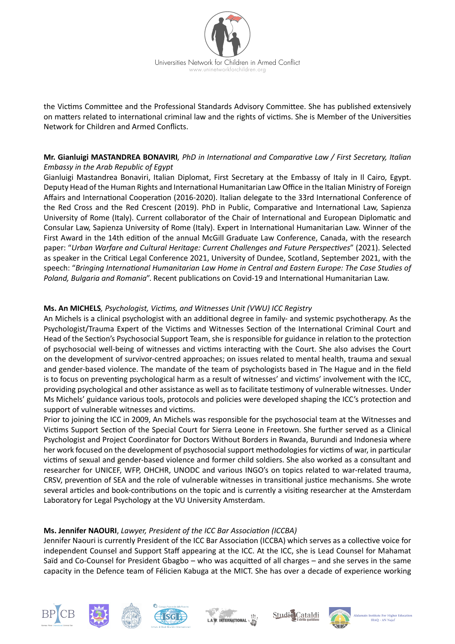

the Victims Committee and the Professional Standards Advisory Committee. She has published extensively on matters related to international criminal law and the rights of victims. She is Member of the Universities Network for Children and Armed Conflicts.

# **Mr. Gianluigi MASTANDREA BONAVIRI***, PhD in International and Comparative Law / First Secretary, Italian Embassy in the Arab Republic of Egypt*

Gianluigi Mastandrea Bonaviri, Italian Diplomat, First Secretary at the Embassy of Italy in Il Cairo, Egypt. Deputy Head of the Human Rights and International Humanitarian Law Office in the Italian Ministry of Foreign Affairs and International Cooperation (2016-2020). Italian delegate to the 33rd International Conference of the Red Cross and the Red Crescent (2019). PhD in Public, Comparative and International Law, Sapienza University of Rome (Italy). Current collaborator of the Chair of International and European Diplomatic and Consular Law, Sapienza University of Rome (Italy). Expert in International Humanitarian Law. Winner of the First Award in the 14th edition of the annual McGill Graduate Law Conference, Canada, with the research paper: "*Urban Warfare and Cultural Heritage: Current Challenges and Future Perspectives*" (2021). Selected as speaker in the Critical Legal Conference 2021, University of Dundee, Scotland, September 2021, with the speech: "*Bringing International Humanitarian Law Home in Central and Eastern Europe: The Case Studies of Poland, Bulgaria and Romania*". Recent publications on Covid-19 and International Humanitarian Law.

# **Ms. An MICHELS***, Psychologist, Victims, and Witnesses Unit (VWU) ICC Registry*

An Michels is a clinical psychologist with an additional degree in family- and systemic psychotherapy. As the Psychologist/Trauma Expert of the Victims and Witnesses Section of the International Criminal Court and Head of the Section's Psychosocial Support Team, she is responsible for guidance in relation to the protection of psychosocial well-being of witnesses and victims interacting with the Court. She also advises the Court on the development of survivor-centred approaches; on issues related to mental health, trauma and sexual and gender-based violence. The mandate of the team of psychologists based in The Hague and in the field is to focus on preventing psychological harm as a result of witnesses' and victims' involvement with the ICC, providing psychological and other assistance as well as to facilitate testimony of vulnerable witnesses. Under Ms Michels' guidance various tools, protocols and policies were developed shaping the ICC's protection and support of vulnerable witnesses and victims.

Prior to joining the ICC in 2009, An Michels was responsible for the psychosocial team at the Witnesses and Victims Support Section of the Special Court for Sierra Leone in Freetown. She further served as a Clinical Psychologist and Project Coordinator for Doctors Without Borders in Rwanda, Burundi and Indonesia where her work focused on the development of psychosocial support methodologies for victims of war, in particular victims of sexual and gender-based violence and former child soldiers. She also worked as a consultant and researcher for UNICEF, WFP, OHCHR, UNODC and various INGO's on topics related to war-related trauma, CRSV, prevention of SEA and the role of vulnerable witnesses in transitional justice mechanisms. She wrote several articles and book-contributions on the topic and is currently a visiting researcher at the Amsterdam Laboratory for Legal Psychology at the VU University Amsterdam.

# **Ms. Jennifer NAOURI**, *Lawyer, President of the ICC Bar Association (ICCBA)*

Jennifer Naouri is currently President of the ICC Bar Association (ICCBA) which serves as a collective voice for independent Counsel and Support Staff appearing at the ICC. At the ICC, she is Lead Counsel for Mahamat Saïd and Co-Counsel for President Gbagbo – who was acquitted of all charges – and she serves in the same capacity in the Defence team of Félicien Kabuga at the MICT. She has over a decade of experience working











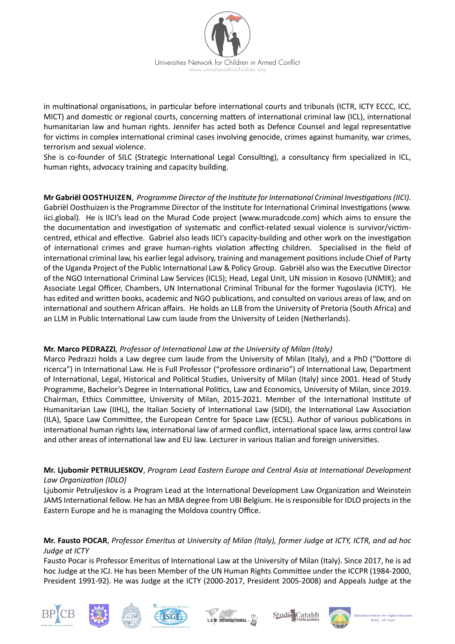

in multinational organisations, in particular before international courts and tribunals (ICTR, ICTY ECCC, ICC, MICT) and domestic or regional courts, concerning matters of international criminal law (ICL), international humanitarian law and human rights. Jennifer has acted both as Defence Counsel and legal representative for victims in complex international criminal cases involving genocide, crimes against humanity, war crimes, terrorism and sexual violence.

She is co-founder of SILC (Strategic International Legal Consulting), a consultancy firm specialized in ICL, human rights, advocacy training and capacity building.

**Mr Gabriël OOSTHUIZEN**, *Programme Director of the Institute for International Criminal Investigations (IICI).* Gabriël Oosthuizen is the Programme Director of the Institute for International Criminal Investigations (www. iici.global). He is IICI's lead on the Murad Code project (www.muradcode.com) which aims to ensure the the documentation and investigation of systematic and conflict-related sexual violence is survivor/victimcentred, ethical and effective. Gabriel also leads IICI's capacity-building and other work on the investigation of international crimes and grave human-rights violation affecting children. Specialised in the field of international criminal law, his earlier legal advisory, training and management positions include Chief of Party of the Uganda Project of the Public International Law & Policy Group. Gabriël also was the Executive Director of the NGO International Criminal Law Services (ICLS); Head, Legal Unit, UN mission in Kosovo (UNMIK); and Associate Legal Officer, Chambers, UN International Criminal Tribunal for the former Yugoslavia (ICTY). He has edited and written books, academic and NGO publications, and consulted on various areas of law, and on international and southern African affairs. He holds an LLB from the University of Pretoria (South Africa) and an LLM in Public International Law cum laude from the University of Leiden (Netherlands).

# **Mr. Marco PEDRAZZI***, Professor of International Law at the University of Milan (Italy)*

Marco Pedrazzi holds a Law degree cum laude from the University of Milan (Italy), and a PhD ("Dottore di ricerca") in International Law. He is Full Professor ("professore ordinario") of International Law, Department of International, Legal, Historical and Political Studies, University of Milan (Italy) since 2001. Head of Study Programme, Bachelor's Degree in International Politics, Law and Economics, University of Milan, since 2019. Chairman, Ethics Committee, University of Milan, 2015-2021. Member of the International Institute of Humanitarian Law (IIHL), the Italian Society of International Law (SIDI), the International Law Association (ILA), Space Law Committee, the European Centre for Space Law (ECSL). Author of various publications in international human rights law, international law of armed conflict, international space law, arms control law and other areas of international law and EU law. Lecturer in various Italian and foreign universities.

# **Mr. Ljubomir PETRULJESKOV**, *Program Lead Eastern Europe and Central Asia at International Development Law Organization (IDLO)*

Ljubomir Petruljeskov is a Program Lead at the International Development Law Organization and Weinstein JAMS International fellow. He has an MBA degree from UBI Belgium. He is responsible for IDLO projects in the Eastern Europe and he is managing the Moldova country Office.

# **Mr. Fausto POCAR**, *Professor Emeritus at University of Milan (Italy), former Judge at ICTY, ICTR, and ad hoc Judge at ICTY*

Fausto Pocar is Professor Emeritus of International Law at the University of Milan (Italy). Since 2017, he is ad hoc Judge at the ICJ. He has been Member of the UN Human Rights Committee under the ICCPR (1984-2000, President 1991-92). He was Judge at the ICTY (2000-2017, President 2005-2008) and Appeals Judge at the











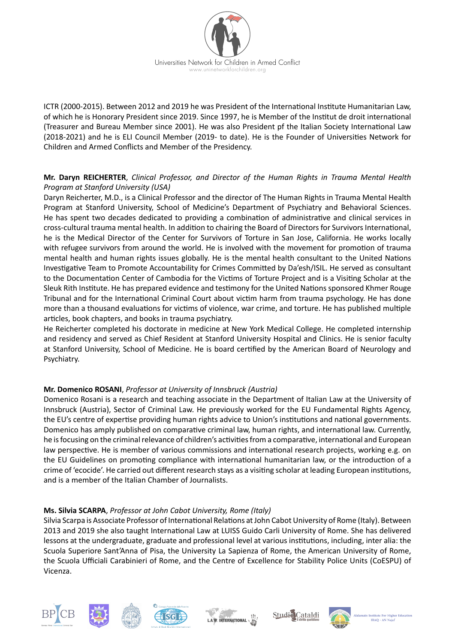

ICTR (2000-2015). Between 2012 and 2019 he was President of the International Institute Humanitarian Law, of which he is Honorary President since 2019. Since 1997, he is Member of the Institut de droit international (Treasurer and Bureau Member since 2001). He was also President pf the Italian Society International Law (2018-2021) and he is ELI Council Member (2019- to date). He is the Founder of Universities Network for Children and Armed Conflicts and Member of the Presidency.

# **Mr. Daryn REICHERTER**, *Clinical Professor, and Director of the Human Rights in Trauma Mental Health Program at Stanford University (USA)*

Daryn Reicherter, M.D., is a Clinical Professor and the director of The Human Rights in Trauma Mental Health Program at Stanford University, School of Medicine's Department of Psychiatry and Behavioral Sciences. He has spent two decades dedicated to providing a combination of administrative and clinical services in cross-cultural trauma mental health. In addition to chairing the Board of Directors for Survivors International, he is the Medical Director of the Center for Survivors of Torture in San Jose, California. He works locally with refugee survivors from around the world. He is involved with the movement for promotion of trauma mental health and human rights issues globally. He is the mental health consultant to the United Nations Investigative Team to Promote Accountability for Crimes Committed by Da'esh/ISIL. He served as consultant to the Documentation Center of Cambodia for the Victims of Torture Project and is a Visiting Scholar at the Sleuk Rith Institute. He has prepared evidence and testimony for the United Nations sponsored Khmer Rouge Tribunal and for the International Criminal Court about victim harm from trauma psychology. He has done more than a thousand evaluations for victims of violence, war crime, and torture. He has published multiple articles, book chapters, and books in trauma psychiatry.

He Reicherter completed his doctorate in medicine at New York Medical College. He completed internship and residency and served as Chief Resident at Stanford University Hospital and Clinics. He is senior faculty at Stanford University, School of Medicine. He is board certified by the American Board of Neurology and Psychiatry.

# **Mr. Domenico ROSANI**, *Professor at University of Innsbruck (Austria)*

Domenico Rosani is a research and teaching associate in the Department of Italian Law at the University of Innsbruck (Austria), Sector of Criminal Law. He previously worked for the EU Fundamental Rights Agency, the EU's centre of expertise providing human rights advice to Union's institutions and national governments. Domenico has amply published on comparative criminal law, human rights, and international law. Currently, he is focusing on the criminal relevance of children's activities from a comparative, international and European law perspective. He is member of various commissions and international research projects, working e.g. on the EU Guidelines on promoting compliance with international humanitarian law, or the introduction of a crime of 'ecocide'. He carried out different research stays as a visiting scholar at leading European institutions, and is a member of the Italian Chamber of Journalists.

#### **Ms. Silvia SCARPA**, *Professor at John Cabot University, Rome (Italy)*

Silvia Scarpa is Associate Professor of International Relations at John Cabot University of Rome (Italy). Between 2013 and 2019 she also taught International Law at LUISS Guido Carli University of Rome. She has delivered lessons at the undergraduate, graduate and professional level at various institutions, including, inter alia: the Scuola Superiore Sant'Anna of Pisa, the University La Sapienza of Rome, the American University of Rome, the Scuola Ufficiali Carabinieri of Rome, and the Centre of Excellence for Stability Police Units (CoESPU) of Vicenza.











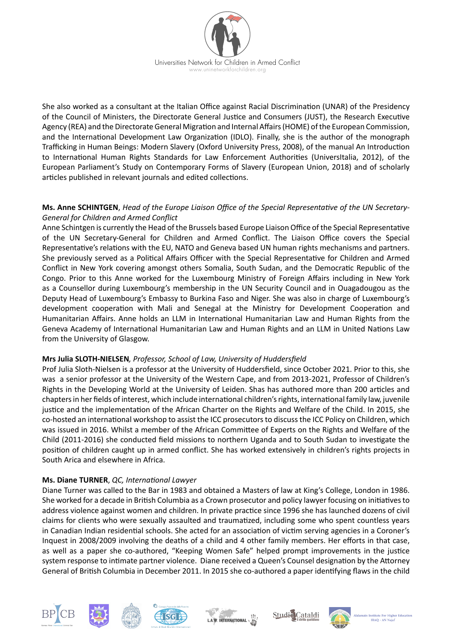

She also worked as a consultant at the Italian Office against Racial Discrimination (UNAR) of the Presidency of the Council of Ministers, the Directorate General Justice and Consumers (JUST), the Research Executive Agency (REA) and the Directorate General Migration and Internal Affairs (HOME) of the European Commission, and the International Development Law Organization (IDLO). Finally, she is the author of the monograph Trafficking in Human Beings: Modern Slavery (Oxford University Press, 2008), of the manual An Introduction to International Human Rights Standards for Law Enforcement Authorities (UniversItalia, 2012), of the European Parliament's Study on Contemporary Forms of Slavery (European Union, 2018) and of scholarly articles published in relevant journals and edited collections.

### **Ms. Anne SCHINTGEN**, *Head of the Europe Liaison Office of the Special Representative of the UN Secretary-General for Children and Armed Conflict*

Anne Schintgen is currently the Head of the Brussels based Europe Liaison Office of the Special Representative of the UN Secretary-General for Children and Armed Conflict. The Liaison Office covers the Special Representative's relations with the EU, NATO and Geneva based UN human rights mechanisms and partners. She previously served as a Political Affairs Officer with the Special Representative for Children and Armed Conflict in New York covering amongst others Somalia, South Sudan, and the Democratic Republic of the Congo. Prior to this Anne worked for the Luxembourg Ministry of Foreign Affairs including in New York as a Counsellor during Luxembourg's membership in the UN Security Council and in Ouagadougou as the Deputy Head of Luxembourg's Embassy to Burkina Faso and Niger. She was also in charge of Luxembourg's development cooperation with Mali and Senegal at the Ministry for Development Cooperation and Humanitarian Affairs. Anne holds an LLM in International Humanitarian Law and Human Rights from the Geneva Academy of International Humanitarian Law and Human Rights and an LLM in United Nations Law from the University of Glasgow.

# **Mrs Julia SLOTH-NIELSEN***, Professor, School of Law, University of Huddersfield*

Prof Julia Sloth-Nielsen is a professor at the University of Huddersfield, since October 2021. Prior to this, she was a senior professor at the University of the Western Cape, and from 2013-2021, Professor of Children's Rights in the Developing World at the University of Leiden. Shas has authored more than 200 articles and chapters in her fields of interest, which include international children's rights, international family law, juvenile justice and the implementation of the African Charter on the Rights and Welfare of the Child. In 2015, she co-hosted an international workshop to assist the ICC prosecutors to discuss the ICC Policy on Children, which was issued in 2016. Whilst a member of the African Committee of Experts on the Rights and Welfare of the Child (2011-2016) she conducted field missions to northern Uganda and to South Sudan to investigate the position of children caught up in armed conflict. She has worked extensively in children's rights projects in South Arica and elsewhere in Africa.

# **Ms. Diane TURNER**, *QC, International Lawyer*

Diane Turner was called to the Bar in 1983 and obtained a Masters of law at King's College, London in 1986. She worked for a decade in British Columbia as a Crown prosecutor and policy lawyer focusing on initiatives to address violence against women and children. In private practice since 1996 she has launched dozens of civil claims for clients who were sexually assaulted and traumatized, including some who spent countless years in Canadian Indian residential schools. She acted for an association of victim serving agencies in a Coroner's Inquest in 2008/2009 involving the deaths of a child and 4 other family members. Her efforts in that case, as well as a paper she co-authored, "Keeping Women Safe" helped prompt improvements in the justice system response to intimate partner violence. Diane received a Queen's Counsel designation by the Attorney General of British Columbia in December 2011. In 2015 she co-authored a paper identifying flaws in the child











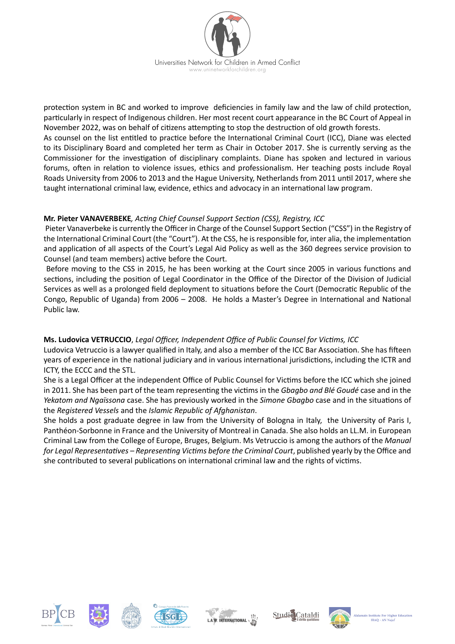

protection system in BC and worked to improve deficiencies in family law and the law of child protection, particularly in respect of Indigenous children. Her most recent court appearance in the BC Court of Appeal in November 2022, was on behalf of citizens attempting to stop the destruction of old growth forests.

As counsel on the list entitled to practice before the International Criminal Court (ICC), Diane was elected to its Disciplinary Board and completed her term as Chair in October 2017. She is currently serving as the Commissioner for the investigation of disciplinary complaints. Diane has spoken and lectured in various forums, often in relation to violence issues, ethics and professionalism. Her teaching posts include Royal Roads University from 2006 to 2013 and the Hague University, Netherlands from 2011 until 2017, where she taught international criminal law, evidence, ethics and advocacy in an international law program.

# **Mr. Pieter VANAVERBEKE***, Acting Chief Counsel Support Section (CSS), Registry, ICC*

 Pieter Vanaverbeke is currently the Officer in Charge of the Counsel Support Section ("CSS") in the Registry of the International Criminal Court (the "Court"). At the CSS, he is responsible for, inter alia, the implementation and application of all aspects of the Court's Legal Aid Policy as well as the 360 degrees service provision to Counsel (and team members) active before the Court.

 Before moving to the CSS in 2015, he has been working at the Court since 2005 in various functions and sections, including the position of Legal Coordinator in the Office of the Director of the Division of Judicial Services as well as a prolonged field deployment to situations before the Court (Democratic Republic of the Congo, Republic of Uganda) from 2006 – 2008. He holds a Master's Degree in International and National Public law.

# **Ms. Ludovica VETRUCCIO**, *Legal Officer, Independent Office of Public Counsel for Victims, ICC*

Ludovica Vetruccio is a lawyer qualified in Italy, and also a member of the ICC Bar Association. She has fifteen years of experience in the national judiciary and in various international jurisdictions, including the ICTR and ICTY, the ECCC and the STL.

She is a Legal Officer at the independent Office of Public Counsel for Victims before the ICC which she joined in 2011. She has been part of the team representing the victims in the *Gbagbo and Blé Goudé* case and in the *Yekatom and Ngaïssona* case. She has previously worked in the *Simone Gbagbo* case and in the situations of the *Registered Vessels* and the *Islamic Republic of Afghanistan*.

She holds a post graduate degree in law from the University of Bologna in Italy, the University of Paris I, Panthéon-Sorbonne in France and the University of Montreal in Canada. She also holds an LL.M. in European Criminal Law from the College of Europe, Bruges, Belgium. Ms Vetruccio is among the authors of the *Manual for Legal Representatives – Representing Victims before the Criminal Court*, published yearly by the Office and she contributed to several publications on international criminal law and the rights of victims.